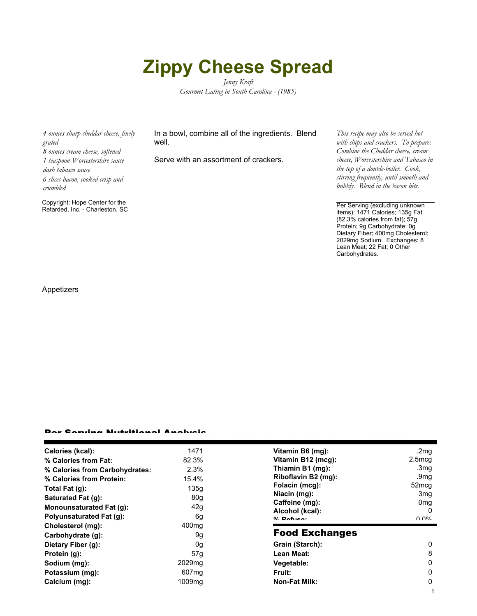## **Zippy Cheese Spread**

*Jenny Kraft Gourmet Eating in South Carolina - (1985)*

*4 ounces sharp cheddar cheese, finely grated 8 ounces cream cheese, softened 1 teaspoon Worcestershire sauce dash tabasco sauce 6 slices bacon, cooked crisp and crumbled*

Copyright: Hope Center for the

In a bowl, combine all of the ingredients. Blend well.

Serve with an assortment of crackers.

*This recipe may also be served hot with chips and crackers. To prepare: Combine the Cheddar cheese, cream cheese, Worcestershire and Tabasco in the top of a double-boiler. Cook, stirring frequently, until smooth and bubbly. Blend in the bacon bits.*

Retarded, Inc. - Charleston, SC Per Serving (excluding unknown items): 1471 Calories; 135g Fat (82.3% calories from fat); 57g Protein; 9g Carbohydrate; 0g Dietary Fiber; 400mg Cholesterol; 2029mg Sodium. Exchanges: 8 Lean Meat; 22 Fat; 0 Other Carbohydrates.

1

Appetizers

## Per Serving Nutritional Analysis

| Calories (kcal):                | 1471               | Vitamin B6 (mg):      | .2 $mg$          |
|---------------------------------|--------------------|-----------------------|------------------|
| % Calories from Fat:            | 82.3%              | Vitamin B12 (mcg):    | $2.5 \text{mcg}$ |
| % Calories from Carbohydrates:  | 2.3%               | Thiamin B1 (mg):      | .3mg             |
| % Calories from Protein:        | 15.4%              | Riboflavin B2 (mg):   | .9 $mg$          |
| Total Fat (g):                  | 135q               | Folacin (mcg):        | 52mcg            |
| Saturated Fat (g):              | 80g                | Niacin (mg):          | 3 <sub>mg</sub>  |
| <b>Monounsaturated Fat (g):</b> | 42g                | Caffeine (mg):        | 0 <sub>mg</sub>  |
|                                 |                    | Alcohol (kcal):       | 0                |
| <b>Polyunsaturated Fat (g):</b> | 6g                 | $0/2$ Pofileon        | በ በ%             |
| Cholesterol (mg):               | 400 <sub>mq</sub>  |                       |                  |
| Carbohydrate (g):               | 9g                 | <b>Food Exchanges</b> |                  |
| Dietary Fiber (g):              | 0g                 | Grain (Starch):       | 0                |
| Protein (g):                    | 57g                | Lean Meat:            | 8                |
| Sodium (mg):                    | 2029 <sub>mq</sub> | Vegetable:            | 0                |
| Potassium (mg):                 | 607 <sub>mq</sub>  | Fruit:                | 0                |
| Calcium (mg):                   | 1009 <sub>mq</sub> | <b>Non-Fat Milk:</b>  | 0                |
|                                 |                    |                       |                  |